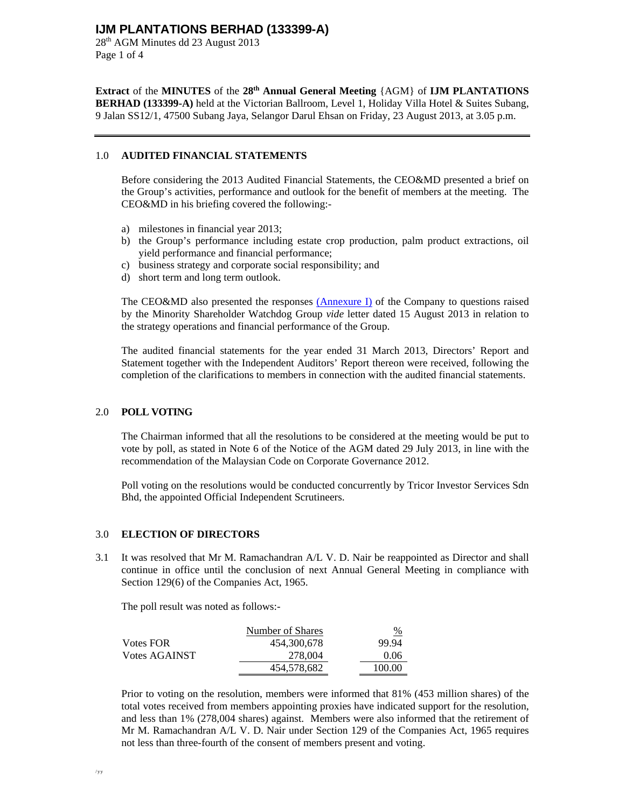28<sup>th</sup> AGM Minutes dd 23 August 2013 Page 1 of 4

**Extract** of the **MINUTES** of the **28th Annual General Meeting** {AGM} of **IJM PLANTATIONS BERHAD (133399-A)** held at the Victorian Ballroom, Level 1, Holiday Villa Hotel & Suites Subang, 9 Jalan SS12/1, 47500 Subang Jaya, Selangor Darul Ehsan on Friday, 23 August 2013, at 3.05 p.m.

#### 1.0 **AUDITED FINANCIAL STATEMENTS**

Before considering the 2013 Audited Financial Statements, the CEO&MD presented a brief on the Group's activities, performance and outlook for the benefit of members at the meeting. The CEO&MD in his briefing covered the following:-

- a) milestones in financial year 2013;
- b) the Group's performance including estate crop production, palm product extractions, oil yield performance and financial performance;
- c) business strategy and corporate social responsibility; and
- d) short term and long term outlook.

The CEO&MD also presented the responses (Annexure I) of the Company to questions raised by the Minority Shareholder Watchdog Group *vide* letter dated 15 August 2013 in relation to the strategy operations and financial performance of the Group.

The audited financial statements for the year ended 31 March 2013, Directors' Report and Statement together with the Independent Auditors' Report thereon were received, following the completion of the clarifications to members in connection with the audited financial statements.

#### 2.0 **POLL VOTING**

The Chairman informed that all the resolutions to be considered at the meeting would be put to vote by poll, as stated in Note 6 of the Notice of the AGM dated 29 July 2013, in line with the recommendation of the Malaysian Code on Corporate Governance 2012.

Poll voting on the resolutions would be conducted concurrently by Tricor Investor Services Sdn Bhd, the appointed Official Independent Scrutineers.

#### 3.0 **ELECTION OF DIRECTORS**

3.1 It was resolved that Mr M. Ramachandran A/L V. D. Nair be reappointed as Director and shall continue in office until the conclusion of next Annual General Meeting in compliance with Section 129(6) of the Companies Act, 1965.

The poll result was noted as follows:-

|                  | Number of Shares | %      |
|------------------|------------------|--------|
| <b>Votes FOR</b> | 454,300,678      | 99.94  |
| Votes AGAINST    | 278,004          | 0.06   |
|                  | 454.578.682      | 100.00 |

Prior to voting on the resolution, members were informed that 81% (453 million shares) of the total votes received from members appointing proxies have indicated support for the resolution, and less than 1% (278,004 shares) against. Members were also informed that the retirement of Mr M. Ramachandran A/L V. D. Nair under Section 129 of the Companies Act, 1965 requires not less than three-fourth of the consent of members present and voting.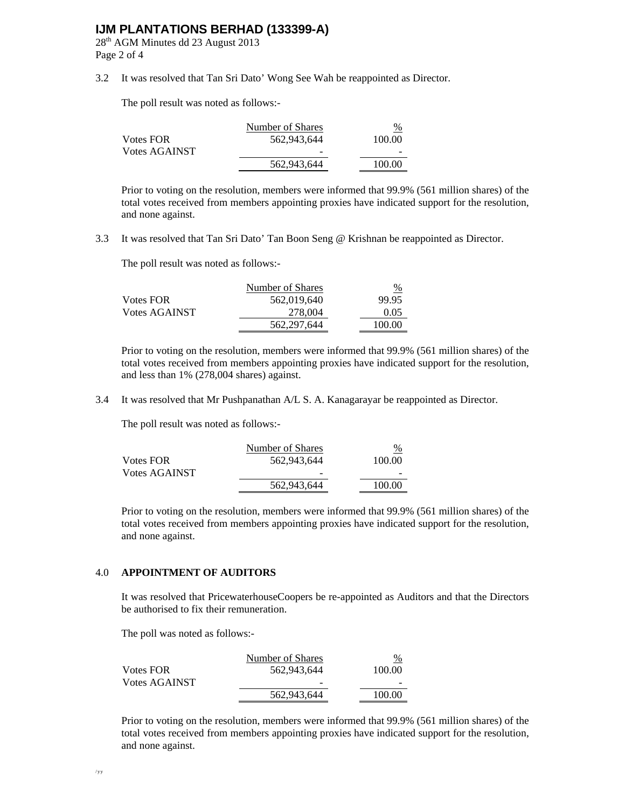28th AGM Minutes dd 23 August 2013 Page 2 of 4

3.2 It was resolved that Tan Sri Dato' Wong See Wah be reappointed as Director.

The poll result was noted as follows:-

|               | Number of Shares | $\%$   |
|---------------|------------------|--------|
| Votes FOR     | 562,943,644      | 100.00 |
| Votes AGAINST | -                |        |
|               | 562,943,644      | 100.00 |

Prior to voting on the resolution, members were informed that 99.9% (561 million shares) of the total votes received from members appointing proxies have indicated support for the resolution, and none against.

3.3 It was resolved that Tan Sri Dato' Tan Boon Seng @ Krishnan be reappointed as Director.

The poll result was noted as follows:-

|                  | Number of Shares | %      |
|------------------|------------------|--------|
| <b>Votes FOR</b> | 562,019,640      | 99.95  |
| Votes AGAINST    | 278,004          | 0.05   |
|                  | 562, 297, 644    | 100.00 |

Prior to voting on the resolution, members were informed that 99.9% (561 million shares) of the total votes received from members appointing proxies have indicated support for the resolution, and less than 1% (278,004 shares) against.

3.4 It was resolved that Mr Pushpanathan A/L S. A. Kanagarayar be reappointed as Director.

The poll result was noted as follows:-

|               | Number of Shares | $\%$   |
|---------------|------------------|--------|
| Votes FOR-    | 562,943,644      | 100.00 |
| Votes AGAINST | -                |        |
|               | 562,943,644      | 100.00 |
|               |                  |        |

Prior to voting on the resolution, members were informed that 99.9% (561 million shares) of the total votes received from members appointing proxies have indicated support for the resolution, and none against.

#### 4.0 **APPOINTMENT OF AUDITORS**

It was resolved that PricewaterhouseCoopers be re-appointed as Auditors and that the Directors be authorised to fix their remuneration.

The poll was noted as follows:-

|                      | Number of Shares | $\%$   |
|----------------------|------------------|--------|
| <b>Votes FOR</b>     | 562,943,644      | 100.00 |
| <b>Votes AGAINST</b> | -                |        |
|                      | 562,943,644      | 100.00 |

Prior to voting on the resolution, members were informed that 99.9% (561 million shares) of the total votes received from members appointing proxies have indicated support for the resolution, and none against.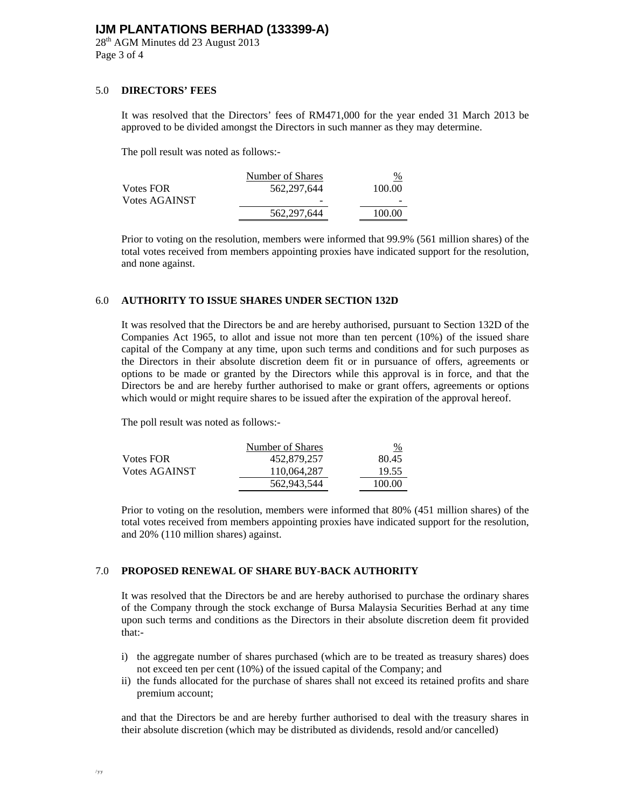28<sup>th</sup> AGM Minutes dd 23 August 2013 Page 3 of 4

#### 5.0 **DIRECTORS' FEES**

It was resolved that the Directors' fees of RM471,000 for the year ended 31 March 2013 be approved to be divided amongst the Directors in such manner as they may determine.

The poll result was noted as follows:-

|                      | Number of Shares | $\frac{9}{6}$ |
|----------------------|------------------|---------------|
| <b>Votes FOR</b>     | 562,297,644      | 100.00        |
| <b>Votes AGAINST</b> | -                |               |
|                      | 562, 297, 644    | 100.00        |

Prior to voting on the resolution, members were informed that 99.9% (561 million shares) of the total votes received from members appointing proxies have indicated support for the resolution, and none against.

#### 6.0 **AUTHORITY TO ISSUE SHARES UNDER SECTION 132D**

It was resolved that the Directors be and are hereby authorised, pursuant to Section 132D of the Companies Act 1965, to allot and issue not more than ten percent (10%) of the issued share capital of the Company at any time, upon such terms and conditions and for such purposes as the Directors in their absolute discretion deem fit or in pursuance of offers, agreements or options to be made or granted by the Directors while this approval is in force, and that the Directors be and are hereby further authorised to make or grant offers, agreements or options which would or might require shares to be issued after the expiration of the approval hereof.

The poll result was noted as follows:-

|                      | Number of Shares | $\frac{9}{6}$ |
|----------------------|------------------|---------------|
| Votes FOR            | 452,879,257      | 80.45         |
| <b>Votes AGAINST</b> | 110.064.287      | 19.55         |
|                      | 562,943,544      | 100.00        |

Prior to voting on the resolution, members were informed that 80% (451 million shares) of the total votes received from members appointing proxies have indicated support for the resolution, and 20% (110 million shares) against.

#### 7.0 **PROPOSED RENEWAL OF SHARE BUY-BACK AUTHORITY**

It was resolved that the Directors be and are hereby authorised to purchase the ordinary shares of the Company through the stock exchange of Bursa Malaysia Securities Berhad at any time upon such terms and conditions as the Directors in their absolute discretion deem fit provided that:-

- i) the aggregate number of shares purchased (which are to be treated as treasury shares) does not exceed ten per cent (10%) of the issued capital of the Company; and
- ii) the funds allocated for the purchase of shares shall not exceed its retained profits and share premium account;

and that the Directors be and are hereby further authorised to deal with the treasury shares in their absolute discretion (which may be distributed as dividends, resold and/or cancelled)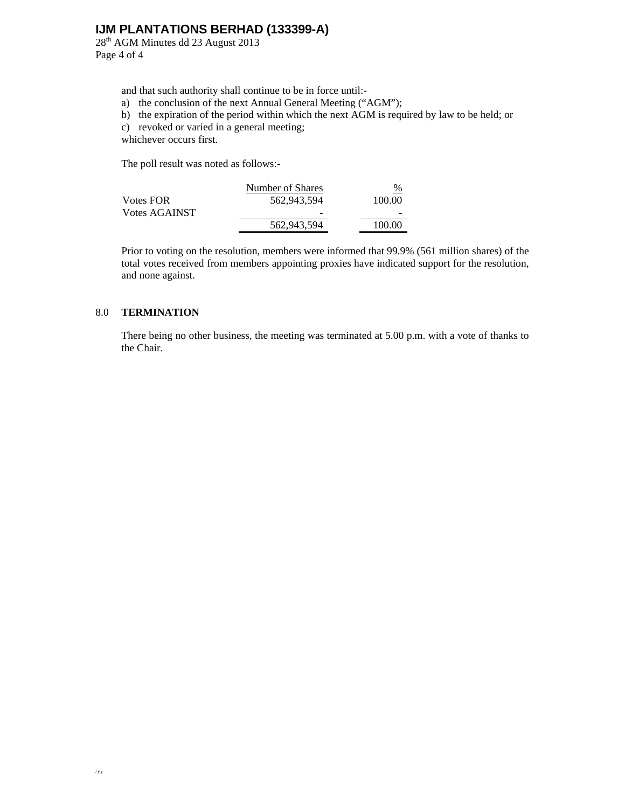28<sup>th</sup> AGM Minutes dd 23 August 2013 Page 4 of 4

and that such authority shall continue to be in force until:-

- a) the conclusion of the next Annual General Meeting ("AGM");
- b) the expiration of the period within which the next AGM is required by law to be held; or
- c) revoked or varied in a general meeting;
- whichever occurs first.

The poll result was noted as follows:-

|                      | Number of Shares | $\frac{0}{0}$ |
|----------------------|------------------|---------------|
| Votes FOR-           | 562,943,594      | 100.00        |
| <b>Votes AGAINST</b> | -                | -             |
|                      | 562,943,594      | 100.00        |

Prior to voting on the resolution, members were informed that 99.9% (561 million shares) of the total votes received from members appointing proxies have indicated support for the resolution, and none against.

#### 8.0 **TERMINATION**

There being no other business, the meeting was terminated at 5.00 p.m. with a vote of thanks to the Chair.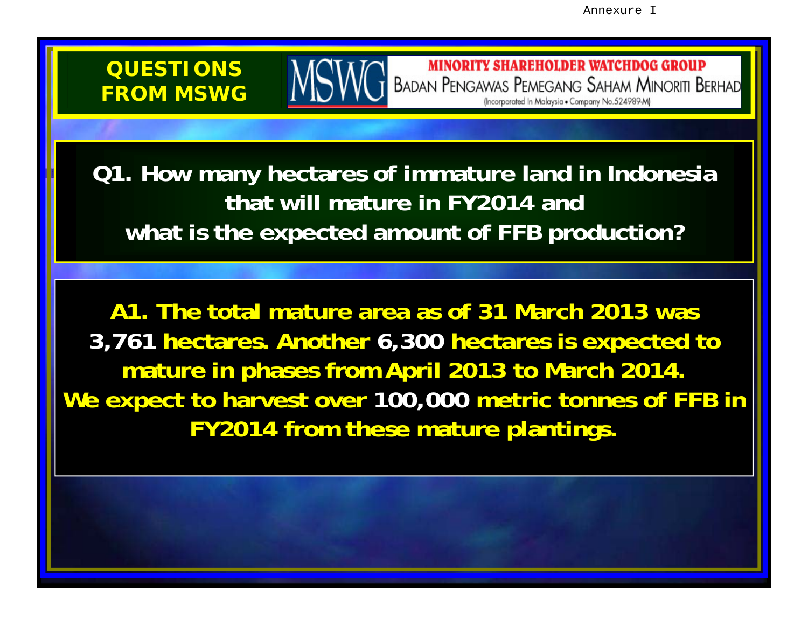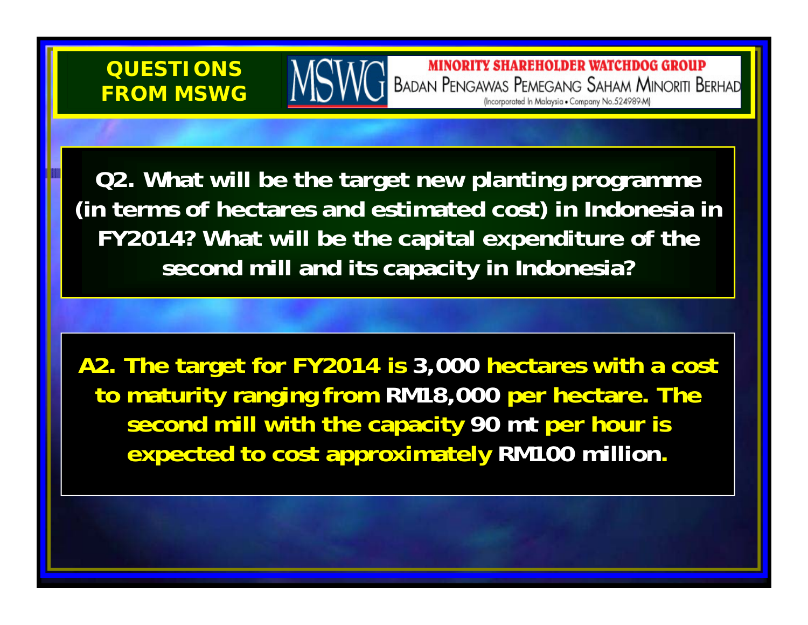

**MINORITY SHAREHOLDER WATCHDOG GROUP BADAN PENGAWAS PEMEGANG SAHAM MINORITI BERHAD** (Incorporated In Malaysia . Company No.524989-M)

**Q2. What will be the target new planting programme (in terms of hectares and estimated cost) in Indonesia in FY2014? What will be the capital expenditure of the second mill and its capacity in Indonesia?**

**A2. The target for FY2014 is 3,000 hectares with a cost to maturity ranging from RM18,000 per hectare. The second mill with the capacity 90 mt per hour is expected to cost approximately RM100 million.**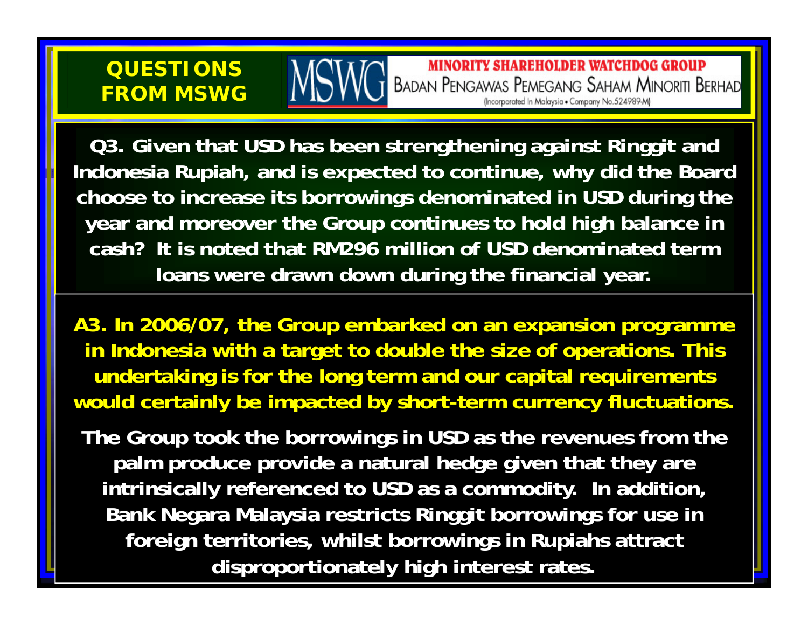# **QUESTIONS FROM MSWG**

**MINORITY SHAREHOLDER WATCHDOG GROUP BADAN PENGAWAS PEMEGANG SAHAM MINORITI BERHAD** (Incorporated In Malaysia . Company No.524989-M)

**Q3. Given that USD has been strengthening against Ringgit and Indonesia Rupiah, and is expected to continue, why did the Board choose to increase its borrowings denominated in USD during the year and moreover the Group continues to hold high balance in cash? It is noted that RM296 million of USD denominated term loans were drawn down during the financial year.**

**A3. In 2006/07, the Group embarked on an expansion programme in Indonesia with a target to double the size of operations. This undertaking is for the long term and our capital requirements would certainly be impacted by short-term currency fluctuations.**

**The Group took the borrowings in USD as the revenues from the palm produce provide a natural hedge given that they are intrinsically referenced to USD as a commodity. In addition, Bank Negara Malaysia restricts Ringgit borrowings for use in foreign territories, whilst borrowings in Rupiahs attract disproportionately high interest rates.**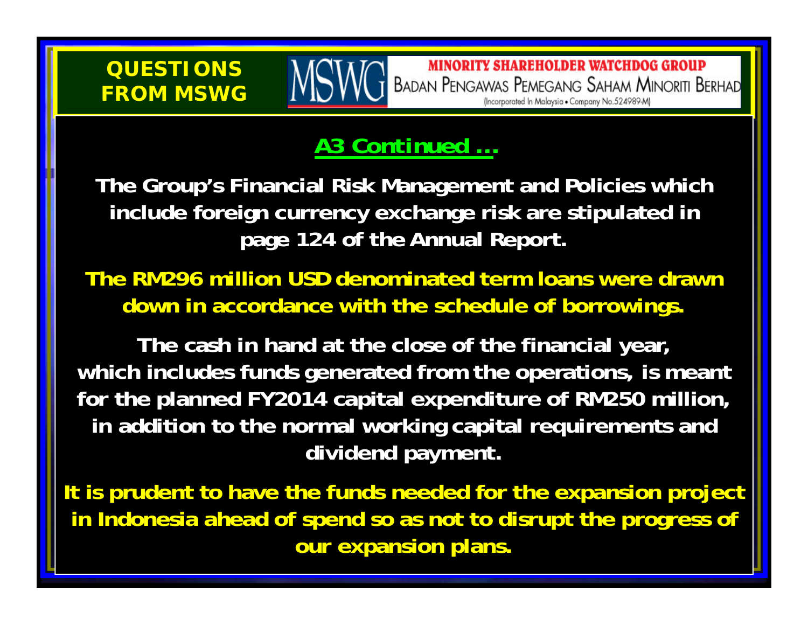# **QUESTIONSFROM MSWG**

# *A3 Continued …*

**The Group's Financial Risk Management and Policies which include foreign currency exchange risk are stipulated in page 124 of the Annual Report.**

**The RM296 million USD denominated term loans were drawn down in accordance with the schedule of borrowings.**

**The cash in hand at the close of the financial year, which includes funds generated from the operations, is meant for the planned FY2014 capital expenditure of RM250 million, in addition to the normal working capital requirements and dividend payment.**

**It is prudent to have the funds needed for the expansion project in Indonesia ahead of spend so as not to disrupt the progress of our expansion plans.**